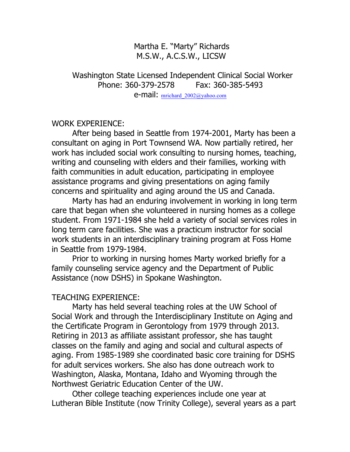Martha E. "Marty" Richards M.S.W., A.C.S.W., LICSW

## Washington State Licensed Independent Clinical Social Worker Phone: 360-379-2578 Fax: 360-385-5493 e-mail: mrichard\_2002@yahoo.com

## WORK EXPERIENCE:

After being based in Seattle from 1974-2001, Marty has been a consultant on aging in Port Townsend WA. Now partially retired, her work has included social work consulting to nursing homes, teaching, writing and counseling with elders and their families, working with faith communities in adult education, participating in employee assistance programs and giving presentations on aging family concerns and spirituality and aging around the US and Canada.

Marty has had an enduring involvement in working in long term care that began when she volunteered in nursing homes as a college student. From 1971-1984 she held a variety of social services roles in long term care facilities. She was a practicum instructor for social work students in an interdisciplinary training program at Foss Home in Seattle from 1979-1984.

Prior to working in nursing homes Marty worked briefly for a family counseling service agency and the Department of Public Assistance (now DSHS) in Spokane Washington.

## TEACHING EXPERIENCE:

Marty has held several teaching roles at the UW School of Social Work and through the Interdisciplinary Institute on Aging and the Certificate Program in Gerontology from 1979 through 2013. Retiring in 2013 as affiliate assistant professor, she has taught classes on the family and aging and social and cultural aspects of aging. From 1985-1989 she coordinated basic core training for DSHS for adult services workers. She also has done outreach work to Washington, Alaska, Montana, Idaho and Wyoming through the Northwest Geriatric Education Center of the UW.

Other college teaching experiences include one year at Lutheran Bible Institute (now Trinity College), several years as a part